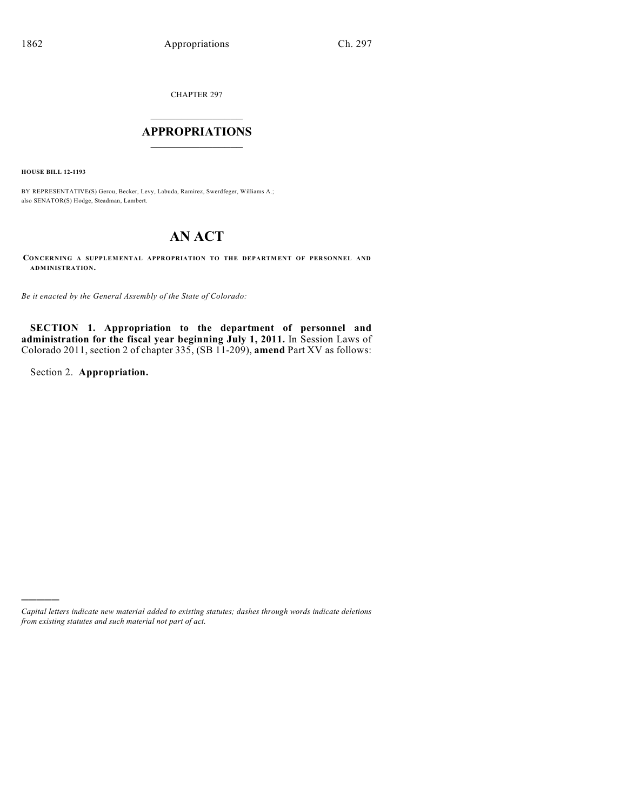CHAPTER 297

# $\mathcal{L}_\text{max}$  . The set of the set of the set of the set of the set of the set of the set of the set of the set of the set of the set of the set of the set of the set of the set of the set of the set of the set of the set **APPROPRIATIONS**  $\_$   $\_$   $\_$   $\_$   $\_$   $\_$   $\_$   $\_$

**HOUSE BILL 12-1193**

BY REPRESENTATIVE(S) Gerou, Becker, Levy, Labuda, Ramirez, Swerdfeger, Williams A.; also SENATOR(S) Hodge, Steadman, Lambert.

# **AN ACT**

**CONCERNING A SUPPLEMENTAL APPROPRIATION TO THE DEPARTMENT OF PERSONNEL AND ADMINISTRATION.**

*Be it enacted by the General Assembly of the State of Colorado:*

**SECTION 1. Appropriation to the department of personnel and administration for the fiscal year beginning July 1, 2011.** In Session Laws of Colorado 2011, section 2 of chapter 335, (SB 11-209), **amend** Part XV as follows:

Section 2. **Appropriation.**

)))))

*Capital letters indicate new material added to existing statutes; dashes through words indicate deletions from existing statutes and such material not part of act.*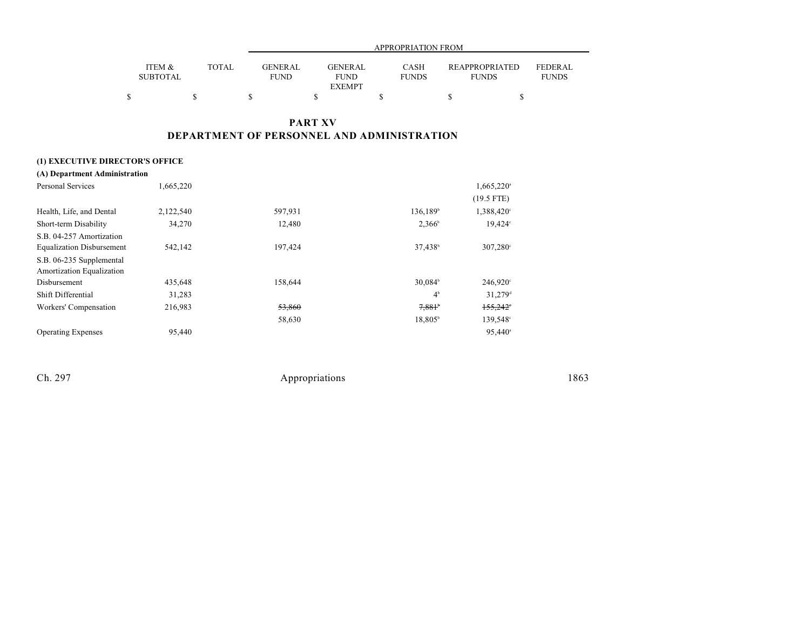|                           |              |                        | APPROPRIATION FROM                      |                             |                                |                         |  |  |
|---------------------------|--------------|------------------------|-----------------------------------------|-----------------------------|--------------------------------|-------------------------|--|--|
| ITEM &<br><b>SUBTOTAL</b> | <b>TOTAL</b> | GENERAL<br><b>FUND</b> | GENERAL<br><b>FUND</b><br><b>EXEMPT</b> | <b>CASH</b><br><b>FUNDS</b> | REAPPROPRIATED<br><b>FUNDS</b> | FEDERAL<br><b>FUNDS</b> |  |  |
|                           |              |                        |                                         |                             |                                |                         |  |  |

## **PART XV DEPARTMENT OF PERSONNEL AND ADMINISTRATION**

### **(1) EXECUTIVE DIRECTOR'S OFFICE**

| (A) Department Administration    |           |         |                      |                          |
|----------------------------------|-----------|---------|----------------------|--------------------------|
| <b>Personal Services</b>         | 1,665,220 |         |                      | $1,665,220$ <sup>a</sup> |
|                                  |           |         |                      | $(19.5$ FTE)             |
| Health, Life, and Dental         | 2,122,540 | 597,931 | 136,189 <sup>b</sup> | 1,388,420°               |
| Short-term Disability            | 34,270    | 12,480  | $2,366^{\circ}$      | 19,424°                  |
| S.B. 04-257 Amortization         |           |         |                      |                          |
| <b>Equalization Disbursement</b> | 542,142   | 197,424 | 37,438 <sup>b</sup>  | $307,280^{\circ}$        |
| S.B. 06-235 Supplemental         |           |         |                      |                          |
| Amortization Equalization        |           |         |                      |                          |
| Disbursement                     | 435,648   | 158,644 | $30,084^{\circ}$     | $246,920^{\circ}$        |
| Shift Differential               | 31,283    |         | 4 <sup>b</sup>       | $31,279$ <sup>d</sup>    |
| Workers' Compensation            | 216,983   | 53,860  | 7,881                | $155,242$ °              |
|                                  |           | 58,630  | 18,805 <sup>b</sup>  | 139,548°                 |
| <b>Operating Expenses</b>        | 95,440    |         |                      | $95,440^{\circ}$         |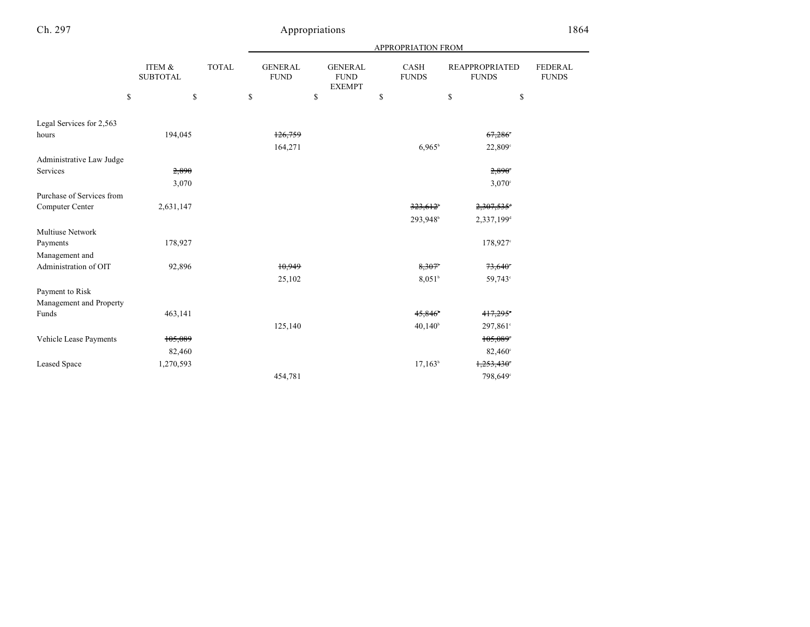|                           |                           |              | APPROPRIATION FROM            |    |                                                |    |                      |                                       |                                |
|---------------------------|---------------------------|--------------|-------------------------------|----|------------------------------------------------|----|----------------------|---------------------------------------|--------------------------------|
|                           | ITEM &<br><b>SUBTOTAL</b> | <b>TOTAL</b> | <b>GENERAL</b><br><b>FUND</b> |    | <b>GENERAL</b><br><b>FUND</b><br><b>EXEMPT</b> |    | CASH<br><b>FUNDS</b> | <b>REAPPROPRIATED</b><br><b>FUNDS</b> | <b>FEDERAL</b><br><b>FUNDS</b> |
|                           | \$<br>\$                  |              | \$                            | \$ |                                                | \$ |                      | \$                                    | \$                             |
| Legal Services for 2,563  |                           |              |                               |    |                                                |    |                      |                                       |                                |
| hours                     | 194,045                   |              | 126,759                       |    |                                                |    |                      | 67,286                                |                                |
|                           |                           |              | 164,271                       |    |                                                |    | $6.965^b$            | 22,809°                               |                                |
| Administrative Law Judge  |                           |              |                               |    |                                                |    |                      |                                       |                                |
| Services                  | 2,890                     |              |                               |    |                                                |    |                      | 2,890°                                |                                |
|                           | 3,070                     |              |                               |    |                                                |    |                      | 3,070°                                |                                |
| Purchase of Services from |                           |              |                               |    |                                                |    |                      |                                       |                                |
| Computer Center           | 2,631,147                 |              |                               |    |                                                |    | 323,612              | 2,307,535 <sup>+</sup>                |                                |
|                           |                           |              |                               |    |                                                |    | 293,948              | 2,337,199 <sup>d</sup>                |                                |
| <b>Multiuse Network</b>   |                           |              |                               |    |                                                |    |                      |                                       |                                |
| Payments                  | 178,927                   |              |                               |    |                                                |    |                      | 178,927 <sup>c</sup>                  |                                |
| Management and            |                           |              |                               |    |                                                |    |                      |                                       |                                |
| Administration of OIT     | 92,896                    |              | 10,949                        |    |                                                |    | 8,307                | $73,640^\circ$                        |                                |
|                           |                           |              | 25,102                        |    |                                                |    | $8,051$ <sup>b</sup> | 59,743 <sup>c</sup>                   |                                |
| Payment to Risk           |                           |              |                               |    |                                                |    |                      |                                       |                                |
| Management and Property   |                           |              |                               |    |                                                |    |                      |                                       |                                |
| Funds                     | 463,141                   |              |                               |    |                                                |    | 45,846               | 417,295                               |                                |
|                           |                           |              | 125,140                       |    |                                                |    | $40,140^{\circ}$     | 297,861 <sup>e</sup>                  |                                |
| Vehicle Lease Payments    | 105,089                   |              |                               |    |                                                |    |                      | 105,089                               |                                |
|                           | 82,460                    |              |                               |    |                                                |    |                      | $82,460^{\circ}$                      |                                |
| <b>Leased Space</b>       | 1,270,593                 |              |                               |    |                                                |    | $17,163^b$           | 1,253,430                             |                                |
|                           |                           |              | 454,781                       |    |                                                |    |                      | 798,649 <sup>c</sup>                  |                                |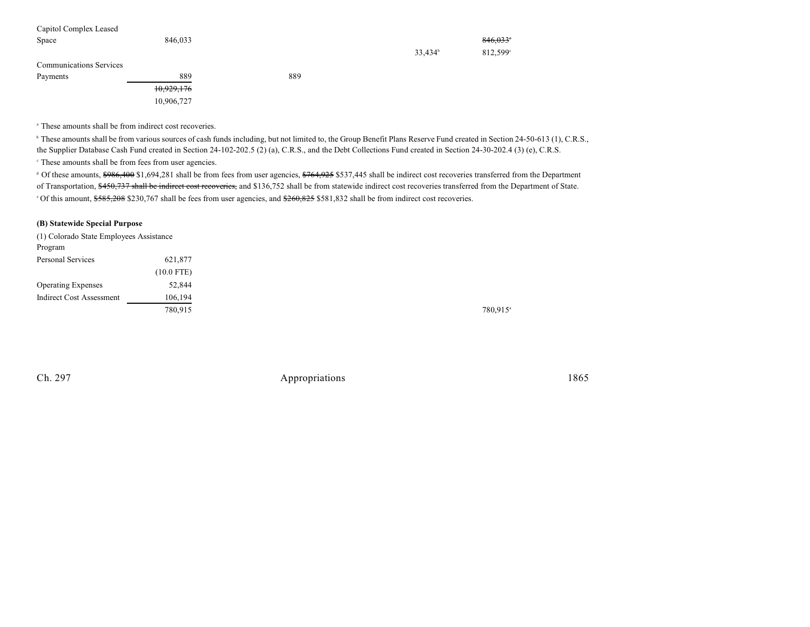| Capitol Complex Leased         |            |     |                     |                        |
|--------------------------------|------------|-----|---------------------|------------------------|
| Space                          | 846.033    |     |                     | $846,033$ <sup>*</sup> |
|                                |            |     | 33,434 <sup>b</sup> | 812.599°               |
| <b>Communications Services</b> |            |     |                     |                        |
| Payments                       | 889        | 889 |                     |                        |
|                                | 10,929,176 |     |                     |                        |

<sup>a</sup> These amounts shall be from indirect cost recoveries.

10,906,727

<sup>b</sup> These amounts shall be from various sources of cash funds including, but not limited to, the Group Benefit Plans Reserve Fund created in Section 24-50-613 (1), C.R.S., the Supplier Database Cash Fund created in Section 24-102-202.5 (2) (a), C.R.S., and the Debt Collections Fund created in Section 24-30-202.4 (3) (e), C.R.S.

 $\cdot$  These amounts shall be from fees from user agencies.

<sup>d</sup> Of these amounts, \$986,400 \$1,694,281 shall be from fees from user agencies, \$764,925 \$537,445 shall be indirect cost recoveries transferred from the Department of Transportation, \$450,737 shall be indirect cost recoveries, and \$136,752 shall be from statewide indirect cost recoveries transferred from the Department of State. <sup>o</sup> Of this amount, \$585,208 \$230,767 shall be fees from user agencies, and \$260,825 \$581,832 shall be from indirect cost recoveries.

### **(B) Statewide Special Purpose**

| (1) Colorado State Employees Assistance |              |
|-----------------------------------------|--------------|
| Program                                 |              |
| Personal Services                       | 621,877      |
|                                         | $(10.0$ FTE) |
| <b>Operating Expenses</b>               | 52,844       |
| <b>Indirect Cost Assessment</b>         | 106,194      |
|                                         | 780,915      |

780,915<sup>a</sup>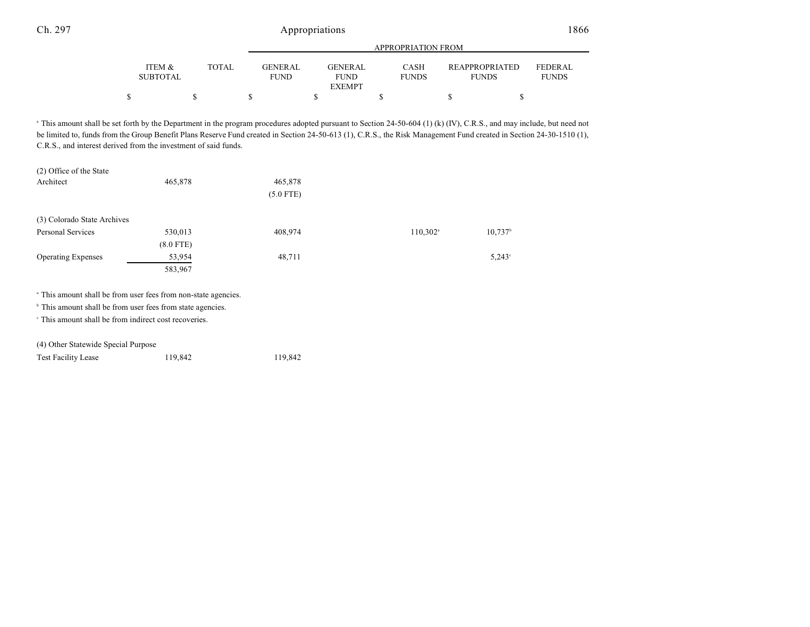|                           |              |                               | APPROPRIATION FROM     |                             |                                       |                                |  |  |
|---------------------------|--------------|-------------------------------|------------------------|-----------------------------|---------------------------------------|--------------------------------|--|--|
| ITEM &<br><b>SUBTOTAL</b> | <b>TOTAL</b> | <b>GENERAL</b><br><b>FUND</b> | GENERAL<br><b>FUND</b> | <b>CASH</b><br><b>FUNDS</b> | <b>REAPPROPRIATED</b><br><b>FUNDS</b> | <b>FEDERAL</b><br><b>FUNDS</b> |  |  |
|                           |              |                               | <b>EXEMPT</b>          |                             |                                       |                                |  |  |
|                           |              |                               |                        |                             |                                       |                                |  |  |

<sup>a</sup> This amount shall be set forth by the Department in the program procedures adopted pursuant to Section 24-50-604 (1) (k) (IV), C.R.S., and may include, but need not be limited to, funds from the Group Benefit Plans Reserve Fund created in Section 24-50-613 (1), C.R.S., the Risk Management Fund created in Section 24-30-1510 (1), C.R.S., and interest derived from the investment of said funds.

| (2) Office of the State     |             |             |                   |                       |
|-----------------------------|-------------|-------------|-------------------|-----------------------|
| Architect                   | 465,878     | 465,878     |                   |                       |
|                             |             | $(5.0$ FTE) |                   |                       |
|                             |             |             |                   |                       |
| (3) Colorado State Archives |             |             |                   |                       |
| Personal Services           | 530,013     | 408,974     | $110,302^{\circ}$ | $10,737$ <sup>b</sup> |
|                             | $(8.0$ FTE) |             |                   |                       |
| <b>Operating Expenses</b>   | 53,954      | 48,711      |                   | $5,243^{\circ}$       |
|                             | 583,967     |             |                   |                       |

<sup>a</sup> This amount shall be from user fees from non-state agencies.

 $\,^{\circ}$  This amount shall be from user fees from state agencies.

 $\cdot$  This amount shall be from indirect cost recoveries.

| (4) Other Statewide Special Purpose |  |
|-------------------------------------|--|
|-------------------------------------|--|

| <b>Test Facility Lease</b> | 119,842 | 119,842 |
|----------------------------|---------|---------|
|----------------------------|---------|---------|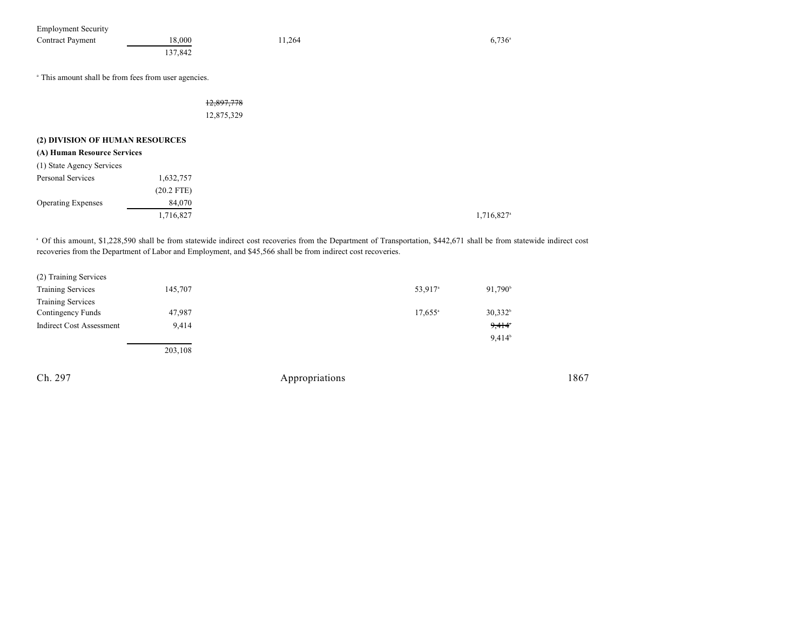| <b>Employment Security</b><br><b>Contract Payment</b>           | 18,000<br>137,842         | 11,264                                                                                                       | $6,736^{\circ}$                                                                                                                                                                  |
|-----------------------------------------------------------------|---------------------------|--------------------------------------------------------------------------------------------------------------|----------------------------------------------------------------------------------------------------------------------------------------------------------------------------------|
| <sup>a</sup> This amount shall be from fees from user agencies. |                           |                                                                                                              |                                                                                                                                                                                  |
|                                                                 | 12,897,778<br>12,875,329  |                                                                                                              |                                                                                                                                                                                  |
| (2) DIVISION OF HUMAN RESOURCES<br>(A) Human Resource Services  |                           |                                                                                                              |                                                                                                                                                                                  |
| (1) State Agency Services                                       |                           |                                                                                                              |                                                                                                                                                                                  |
| Personal Services                                               | 1,632,757<br>$(20.2$ FTE) |                                                                                                              |                                                                                                                                                                                  |
| <b>Operating Expenses</b>                                       | 84,070<br>1,716,827       |                                                                                                              | 1,716,827 <sup>a</sup>                                                                                                                                                           |
|                                                                 |                           | recoveries from the Department of Labor and Employment, and \$45,566 shall be from indirect cost recoveries. | <sup>a</sup> Of this amount, \$1,228,590 shall be from statewide indirect cost recoveries from the Department of Transportation, \$442,671 shall be from statewide indirect cost |
| (2) Training Services                                           |                           |                                                                                                              |                                                                                                                                                                                  |

| <b>Training Services</b>        | 145,707 | 53,917 <sup>a</sup> | 91,790 <sup>b</sup> |
|---------------------------------|---------|---------------------|---------------------|
| <b>Training Services</b>        |         |                     |                     |
| Contingency Funds               | 47,987  | $17,655^{\circ}$    | $30,332^b$          |
| <b>Indirect Cost Assessment</b> | 9,414   |                     | 9,414               |
|                                 |         |                     | 9,414 <sup>b</sup>  |
|                                 | 203,108 |                     |                     |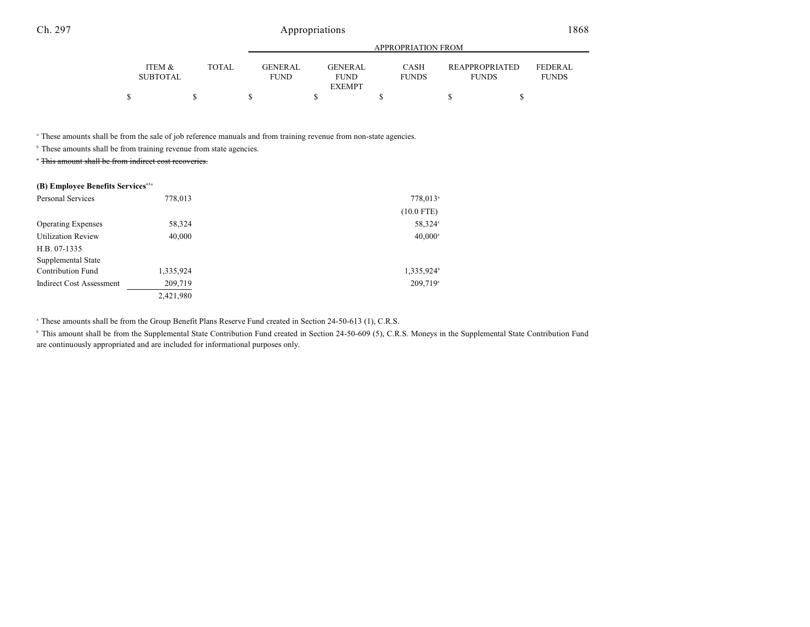|                 |              |                | APPROPRIATION FROM |              |                       |                |  |  |
|-----------------|--------------|----------------|--------------------|--------------|-----------------------|----------------|--|--|
| ITEM &          | <b>TOTAL</b> | <b>GENERAL</b> | <b>GENERAL</b>     | CASH         | <b>REAPPROPRIATED</b> | <b>FEDERAL</b> |  |  |
|                 |              |                |                    |              |                       |                |  |  |
| <b>SUBTOTAL</b> |              | FUND           | <b>FUND</b>        | <b>FUNDS</b> | <b>FUNDS</b>          | <b>FUNDS</b>   |  |  |
|                 |              |                | <b>EXEMPT</b>      |              |                       |                |  |  |
|                 |              |                |                    |              |                       |                |  |  |

<sup>a</sup> These amounts shall be from the sale of job reference manuals and from training revenue from non-state agencies.

 $\beta$  These amounts shall be from training revenue from state agencies.

This amount shall be from indirect cost recoveries.

#### **(B) Employee Benefits Services** 48a

| Personal Services               | 778,013   | 778,013 <sup>a</sup> |
|---------------------------------|-----------|----------------------|
|                                 |           | $(10.0$ FTE)         |
| <b>Operating Expenses</b>       | 58,324    | 58,324 <sup>a</sup>  |
| <b>Utilization Review</b>       | 40,000    | $40,000^{\circ}$     |
| H.B. 07-1335                    |           |                      |
| Supplemental State              |           |                      |
| <b>Contribution Fund</b>        | 1,335,924 | 1,335,924            |
| <b>Indirect Cost Assessment</b> | 209,719   | 209,719 <sup>a</sup> |
|                                 | 2,421,980 |                      |

<sup>a</sup> These amounts shall be from the Group Benefit Plans Reserve Fund created in Section 24-50-613 (1), C.R.S.

<sup>h</sup> This amount shall be from the Supplemental State Contribution Fund created in Section 24-50-609 (5), C.R.S. Moneys in the Supplemental State Contribution Fund are continuously appropriated and are included for informational purposes only.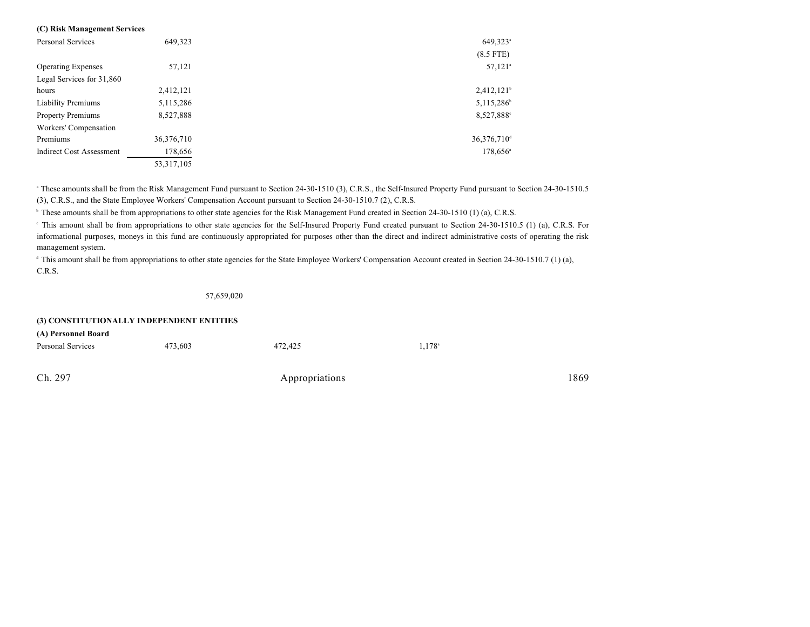#### **(C) Risk Management Services**

| <b>Personal Services</b>        | 649,323      | $649,323$ <sup>a</sup>   |
|---------------------------------|--------------|--------------------------|
|                                 |              | $(8.5$ FTE)              |
| <b>Operating Expenses</b>       | 57,121       | $57,121$ <sup>a</sup>    |
| Legal Services for 31,860       |              |                          |
| hours                           | 2,412,121    | $2,412,121$ <sup>b</sup> |
| <b>Liability Premiums</b>       | 5,115,286    | 5,115,286 <sup>b</sup>   |
| <b>Property Premiums</b>        | 8,527,888    | 8,527,888°               |
| Workers' Compensation           |              |                          |
| Premiums                        | 36,376,710   | 36,376,710 <sup>d</sup>  |
| <b>Indirect Cost Assessment</b> | 178,656      | $178,656^{\circ}$        |
|                                 | 53, 317, 105 |                          |

<sup>a</sup> These amounts shall be from the Risk Management Fund pursuant to Section 24-30-1510 (3), C.R.S., the Self-Insured Property Fund pursuant to Section 24-30-1510.5 (3), C.R.S., and the State Employee Workers' Compensation Account pursuant to Section 24-30-1510.7 (2), C.R.S.

<sup>b</sup> These amounts shall be from appropriations to other state agencies for the Risk Management Fund created in Section 24-30-1510 (1) (a), C.R.S.

This amount shall be from appropriations to other state agencies for the Self-Insured Property Fund created pursuant to Section 24-30-1510.5 (1) (a), C.R.S. For <sup>c</sup> informational purposes, moneys in this fund are continuously appropriated for purposes other than the direct and indirect administrative costs of operating the risk management system.

<sup>d</sup> This amount shall be from appropriations to other state agencies for the State Employee Workers' Compensation Account created in Section 24-30-1510.7 (1) (a), C.R.S.

57,659,020

| (3) CONSTITUTIONALLY INDEPENDENT ENTITIES |         |         |                 |  |  |
|-------------------------------------------|---------|---------|-----------------|--|--|
| (A) Personnel Board                       |         |         |                 |  |  |
| Personal Services                         | 473.603 | 472,425 | $1.178^{\circ}$ |  |  |
|                                           |         |         |                 |  |  |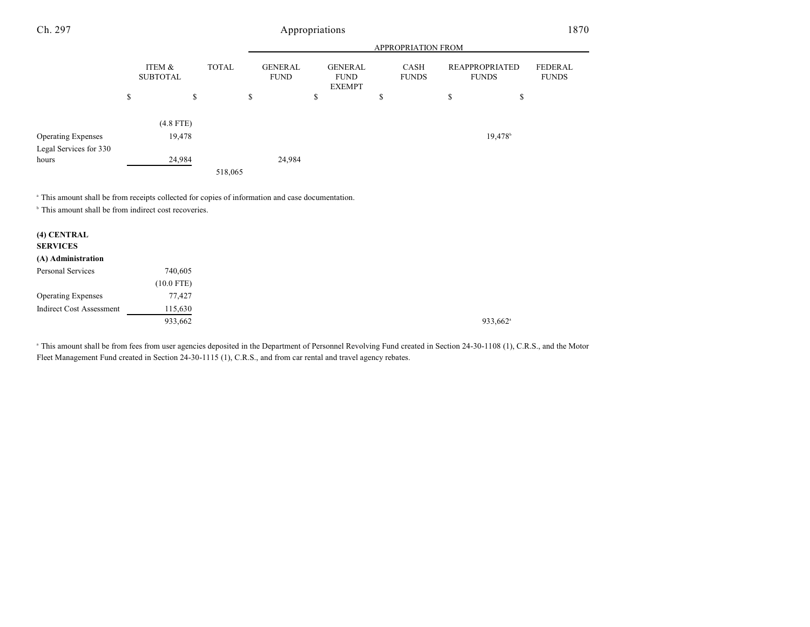|                                 |                           |    |              |    | APPROPRIATION FROM            |    |                                                |    |                             |    |                                       |                                |
|---------------------------------|---------------------------|----|--------------|----|-------------------------------|----|------------------------------------------------|----|-----------------------------|----|---------------------------------------|--------------------------------|
|                                 | ITEM &<br><b>SUBTOTAL</b> |    | <b>TOTAL</b> |    | <b>GENERAL</b><br><b>FUND</b> |    | <b>GENERAL</b><br><b>FUND</b><br><b>EXEMPT</b> |    | <b>CASH</b><br><b>FUNDS</b> |    | <b>REAPPROPRIATED</b><br><b>FUNDS</b> | <b>FEDERAL</b><br><b>FUNDS</b> |
|                                 | \$                        | \$ |              | \$ |                               | \$ |                                                | \$ |                             | \$ | \$                                    |                                |
|                                 | $(4.8$ FTE)               |    |              |    |                               |    |                                                |    |                             |    |                                       |                                |
| <b>Operating Expenses</b>       | 19,478                    |    |              |    |                               |    |                                                |    |                             |    | 19,478 <sup>b</sup>                   |                                |
| Legal Services for 330<br>hours | 24,984                    |    | 518,065      |    | 24,984                        |    |                                                |    |                             |    |                                       |                                |
|                                 |                           |    |              |    |                               |    |                                                |    |                             |    |                                       |                                |

<sup>a</sup> This amount shall be from receipts collected for copies of information and case documentation.

 $\,^{\circ}$  This amount shall be from indirect cost recoveries.

| (4) CENTRAL<br><b>SERVICES</b>  |              |
|---------------------------------|--------------|
| (A) Administration              |              |
| Personal Services               | 740,605      |
|                                 | $(10.0$ FTE) |
| <b>Operating Expenses</b>       | 77,427       |
| <b>Indirect Cost Assessment</b> | 115,630      |
|                                 | 933,662      |

<sup>a</sup> This amount shall be from fees from user agencies deposited in the Department of Personnel Revolving Fund created in Section 24-30-1108 (1), C.R.S., and the Motor Fleet Management Fund created in Section 24-30-1115 (1), C.R.S., and from car rental and travel agency rebates.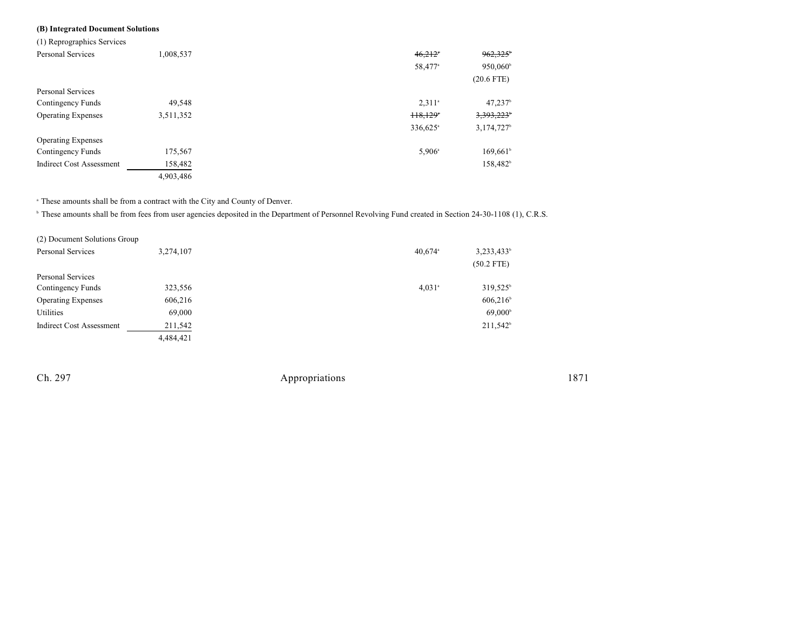### **(B) Integrated Document Solutions**

| (1) Reprographics Services      |           |                                  |                        |
|---------------------------------|-----------|----------------------------------|------------------------|
| Personal Services               | 1,008,537 | 46,212                           | 962,325                |
|                                 |           | 58,477 <sup>a</sup>              | 950,060 <sup>b</sup>   |
|                                 |           |                                  | $(20.6$ FTE)           |
| <b>Personal Services</b>        |           |                                  |                        |
| Contingency Funds               | 49,548    | $2,311$ <sup>a</sup>             | $47,237$ <sup>b</sup>  |
| <b>Operating Expenses</b>       | 3,511,352 | H <sub>8</sub> ,129 <sup>*</sup> | 3,393,223              |
|                                 |           | 336,625 <sup>a</sup>             | 3,174,727 <sup>b</sup> |
| <b>Operating Expenses</b>       |           |                                  |                        |
| Contingency Funds               | 175,567   | $5,906^{\circ}$                  | $169,661$ <sup>b</sup> |
| <b>Indirect Cost Assessment</b> | 158,482   |                                  | 158,482 <sup>b</sup>   |
|                                 | 4,903,486 |                                  |                        |

 $^\circ$  These amounts shall be from a contract with the City and County of Denver.

<sup>b</sup> These amounts shall be from fees from user agencies deposited in the Department of Personnel Revolving Fund created in Section 24-30-1108 (1), C.R.S.

| (2) Document Solutions Group    |           |                       |                        |
|---------------------------------|-----------|-----------------------|------------------------|
| <b>Personal Services</b>        | 3,274,107 | $40,674$ <sup>a</sup> | 3,233,433 <sup>b</sup> |
|                                 |           |                       | $(50.2$ FTE)           |
| Personal Services               |           |                       |                        |
| Contingency Funds               | 323,556   | $4,031$ <sup>a</sup>  | $319.525^{\circ}$      |
| <b>Operating Expenses</b>       | 606,216   |                       | 606,216                |
| Utilities                       | 69,000    |                       | $69,000^{\circ}$       |
| <b>Indirect Cost Assessment</b> | 211,542   |                       | 211,542 <sup>b</sup>   |
|                                 | 4,484,421 |                       |                        |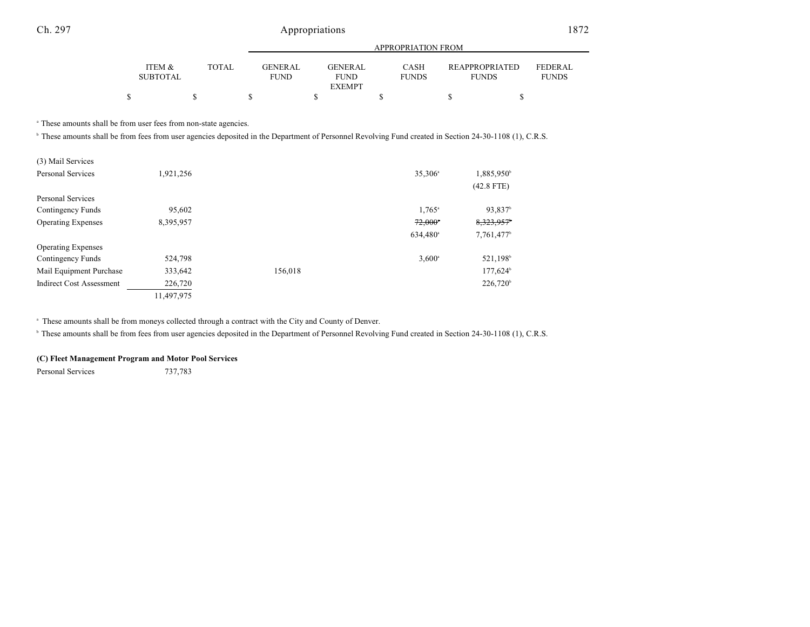|                           |       |                        |                        | APPROPRIATION FROM          |                                       |                         |
|---------------------------|-------|------------------------|------------------------|-----------------------------|---------------------------------------|-------------------------|
| ITEM &<br><b>SUBTOTAL</b> | TOTAL | GENERAL<br><b>FUND</b> | GENERAL<br><b>FUND</b> | <b>CASH</b><br><b>FUNDS</b> | <b>REAPPROPRIATED</b><br><b>FUNDS</b> | FEDERAL<br><b>FUNDS</b> |
|                           |       |                        | <b>EXEMPT</b>          |                             |                                       |                         |
|                           |       |                        |                        |                             |                                       |                         |

<sup>a</sup> These amounts shall be from user fees from non-state agencies.

<sup>b</sup> These amounts shall be from fees from user agencies deposited in the Department of Personnel Revolving Fund created in Section 24-30-1108 (1), C.R.S.

| (3) Mail Services               |            |         |                       |                        |
|---------------------------------|------------|---------|-----------------------|------------------------|
| <b>Personal Services</b>        | 1,921,256  |         | 35,306 <sup>a</sup>   | 1,885,950 <sup>b</sup> |
|                                 |            |         |                       | $(42.8$ FTE)           |
| <b>Personal Services</b>        |            |         |                       |                        |
| Contingency Funds               | 95,602     |         | $1,765$ <sup>a</sup>  | 93,837 <sup>b</sup>    |
| <b>Operating Expenses</b>       | 8,395,957  |         | $72,000$ <sup>*</sup> | 8,323,957 <sup>b</sup> |
|                                 |            |         | 634,480 <sup>a</sup>  | 7,761,477 <sup>b</sup> |
| <b>Operating Expenses</b>       |            |         |                       |                        |
| Contingency Funds               | 524,798    |         | $3,600^{\circ}$       | 521,198 <sup>b</sup>   |
| Mail Equipment Purchase         | 333,642    | 156,018 |                       | 177,624 <sup>b</sup>   |
| <b>Indirect Cost Assessment</b> | 226,720    |         |                       | 226,720 <sup>b</sup>   |
|                                 | 11,497,975 |         |                       |                        |

<sup>a</sup> These amounts shall be from moneys collected through a contract with the City and County of Denver.

<sup>b</sup> These amounts shall be from fees from user agencies deposited in the Department of Personnel Revolving Fund created in Section 24-30-1108 (1), C.R.S.

#### **(C) Fleet Management Program and Motor Pool Services**

Personal Services 737,783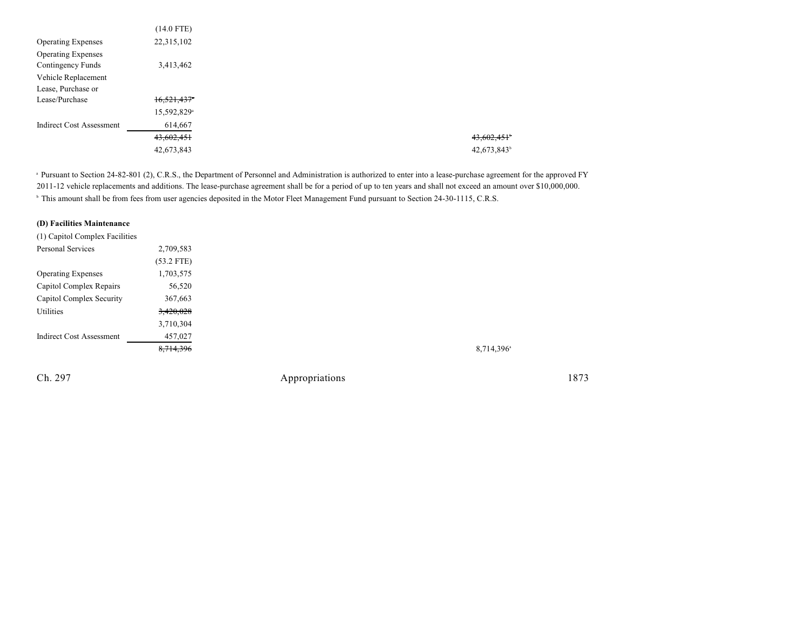| $(14.0$ FTE)            |
|-------------------------|
| 22,315,102              |
|                         |
| 3,413,462               |
|                         |
|                         |
| 16,521,437              |
| 15,592,829 <sup>a</sup> |
| 614,667                 |
| 43,602,451              |
| 42,673,843              |
|                         |

<sup>a</sup> Pursuant to Section 24-82-801 (2), C.R.S., the Department of Personnel and Administration is authorized to enter into a lease-purchase agreement for the approved FY 2011-12 vehicle replacements and additions. The lease-purchase agreement shall be for a period of up to ten years and shall not exceed an amount over \$10,000,000. <sup>b</sup> This amount shall be from fees from user agencies deposited in the Motor Fleet Management Fund pursuant to Section 24-30-1115, C.R.S.

### **(D) Facilities Maintenance**

| (1) Capitol Complex Facilities  |              |
|---------------------------------|--------------|
| Personal Services               | 2,709,583    |
|                                 | $(53.2$ FTE) |
| <b>Operating Expenses</b>       | 1,703,575    |
| Capitol Complex Repairs         | 56,520       |
| Capitol Complex Security        | 367,663      |
| Utilities                       | 3,420,028    |
|                                 | 3,710,304    |
| <b>Indirect Cost Assessment</b> | 457,027      |
|                                 | 8,714,396    |
|                                 |              |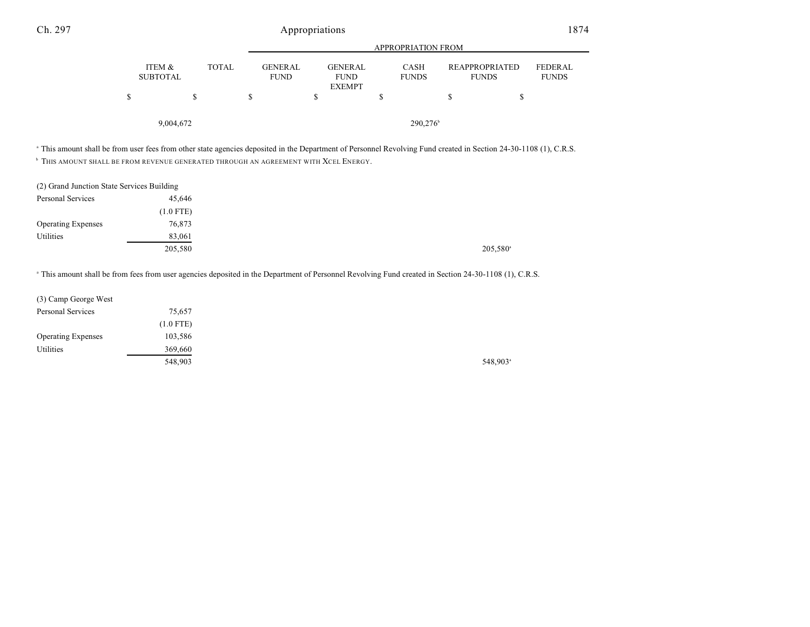|                           |                                               |                                                | <b>APPROPRIATION FROM</b>   |   |                                                                  |  |
|---------------------------|-----------------------------------------------|------------------------------------------------|-----------------------------|---|------------------------------------------------------------------|--|
| ITEM &<br><b>SUBTOTAL</b> | <b>TOTAL</b><br><b>GENERAL</b><br><b>FUND</b> | <b>GENERAL</b><br><b>FUND</b><br><b>EXEMPT</b> | <b>CASH</b><br><b>FUNDS</b> |   | <b>REAPPROPRIATED</b><br>FEDERAL<br><b>FUNDS</b><br><b>FUNDS</b> |  |
| S                         | S                                             |                                                |                             | S | \$                                                               |  |
| 9,004,672                 |                                               |                                                | $290,276$ <sup>b</sup>      |   |                                                                  |  |

<sup>a</sup> This amount shall be from user fees from other state agencies deposited in the Department of Personnel Revolving Fund created in Section 24-30-1108 (1), C.R.S.

 $^{\rm b}$  This amount shall be from revenue generated through an agreement with  $X$ cel Energy.

| (2) Grand Junction State Services Building |             |
|--------------------------------------------|-------------|
| Personal Services                          | 45.646      |
|                                            | $(1.0$ FTE) |
| <b>Operating Expenses</b>                  | 76,873      |
| Utilities                                  | 83,061      |
|                                            | 205,580     |

<sup>a</sup> This amount shall be from fees from user agencies deposited in the Department of Personnel Revolving Fund created in Section 24-30-1108 (1), C.R.S.

| (3) Camp George West      |             |         |
|---------------------------|-------------|---------|
| Personal Services         | 75,657      |         |
|                           | $(1.0$ FTE) |         |
| <b>Operating Expenses</b> | 103,586     |         |
| Utilities                 | 369,660     |         |
|                           | 548,903     | 548,903 |

548,903<sup>a</sup>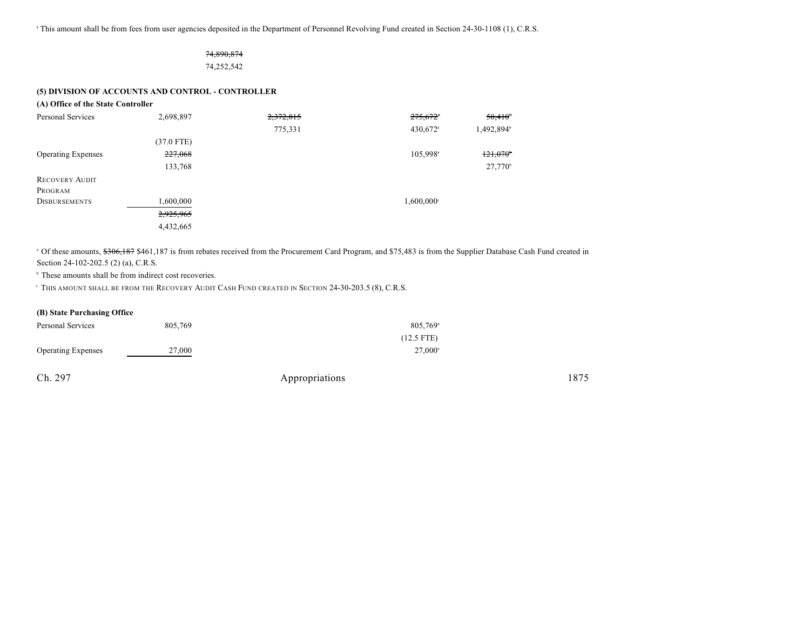<sup>a</sup> This amount shall be from fees from user agencies deposited in the Department of Personnel Revolving Fund created in Section 24-30-1108 (1), C.R.S.

### 74,890,874 74,252,542

#### **(5) DIVISION OF ACCOUNTS AND CONTROL - CONTROLLER**

#### **(A) Office of the State Controller**

| Personal Services         | 2,698,897    | 2,372,815 | $275,672$ <sup>*</sup>   | $50,410^{6}$     |
|---------------------------|--------------|-----------|--------------------------|------------------|
|                           |              | 775,331   | 430,672 <sup>a</sup>     | 1,492,894        |
|                           | $(37.0$ FTE) |           |                          |                  |
| <b>Operating Expenses</b> | 227,068      |           | 105,998 <sup>a</sup>     | 121,070          |
|                           | 133,768      |           |                          | $27,770^{\circ}$ |
| <b>RECOVERY AUDIT</b>     |              |           |                          |                  |
| PROGRAM                   |              |           |                          |                  |
| <b>DISBURSEMENTS</b>      | 1,600,000    |           | $1,600,000$ <sup>c</sup> |                  |
|                           | 2,925,965    |           |                          |                  |
|                           | 4,432,665    |           |                          |                  |

<sup>a</sup> Of these amounts, \$306,187 \$461,187 is from rebates received from the Procurement Card Program, and \$75,483 is from the Supplier Database Cash Fund created in Section 24-102-202.5 (2) (a), C.R.S.

 $\,^{\circ}$  These amounts shall be from indirect cost recoveries.

THIS AMOUNT SHALL BE FROM THE RECOVERY AUDIT CASH FUND CREATED IN SECTION 24-30-203.5 (8), C.R.S. <sup>c</sup>

#### **(B) State Purchasing Office**

| Personal Services         | 805,769 | $805,769$ <sup>a</sup> |
|---------------------------|---------|------------------------|
|                           |         | $(12.5$ FTE)           |
| <b>Operating Expenses</b> | 27,000  | $27,000^{\circ}$       |
|                           |         |                        |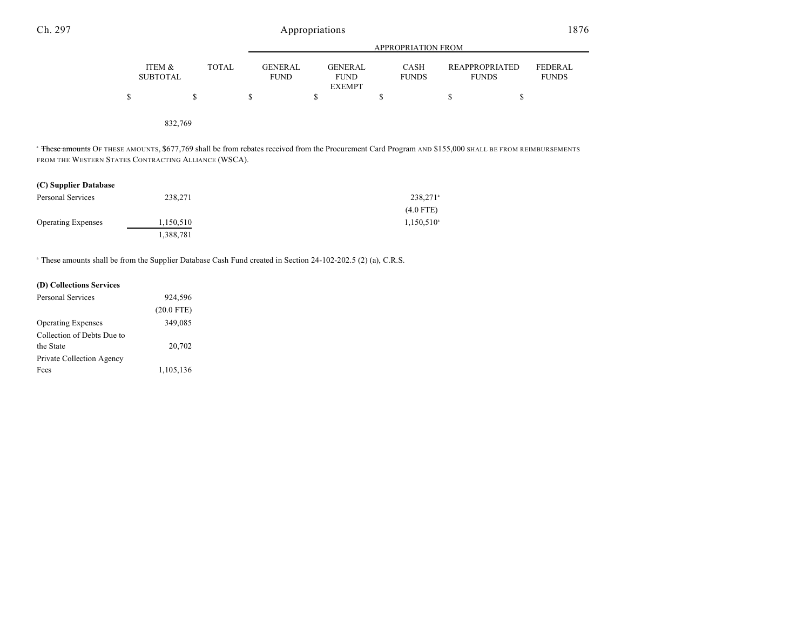|                           |              | APPROPRIATION FROM            |                                                |                             |                                |                         |
|---------------------------|--------------|-------------------------------|------------------------------------------------|-----------------------------|--------------------------------|-------------------------|
| ITEM &<br><b>SUBTOTAL</b> | <b>TOTAL</b> | <b>GENERAL</b><br><b>FUND</b> | <b>GENERAL</b><br><b>FUND</b><br><b>EXEMPT</b> | <b>CASH</b><br><b>FUNDS</b> | REAPPROPRIATED<br><b>FUNDS</b> | FEDERAL<br><b>FUNDS</b> |
|                           | S            | S                             |                                                | S                           | S<br>S                         |                         |
| 832,769                   |              |                               |                                                |                             |                                |                         |

<sup>a</sup> <del>These amounts</del> Of these amounts, \$677,769 shall be from rebates received from the Procurement Card Program and \$155,000 shall be from reimbursements FROM THE WESTERN STATES CONTRACTING ALLIANCE (WSCA).

### **(C) Supplier Database**

| Personal Services         | 238,271   | $238,271$ <sup>a</sup> |
|---------------------------|-----------|------------------------|
|                           |           | $(4.0$ FTE)            |
| <b>Operating Expenses</b> | 1,150,510 | $1,150,510^{\circ}$    |
|                           | 1.388.781 |                        |

<sup>a</sup> These amounts shall be from the Supplier Database Cash Fund created in Section 24-102-202.5 (2) (a), C.R.S.

| (D) Collections Services   |              |  |
|----------------------------|--------------|--|
| Personal Services          | 924,596      |  |
|                            | $(20.0$ FTE) |  |
| <b>Operating Expenses</b>  | 349,085      |  |
| Collection of Debts Due to |              |  |
| the State                  | 20,702       |  |
| Private Collection Agency  |              |  |
| Fees                       | 1,105,136    |  |
|                            |              |  |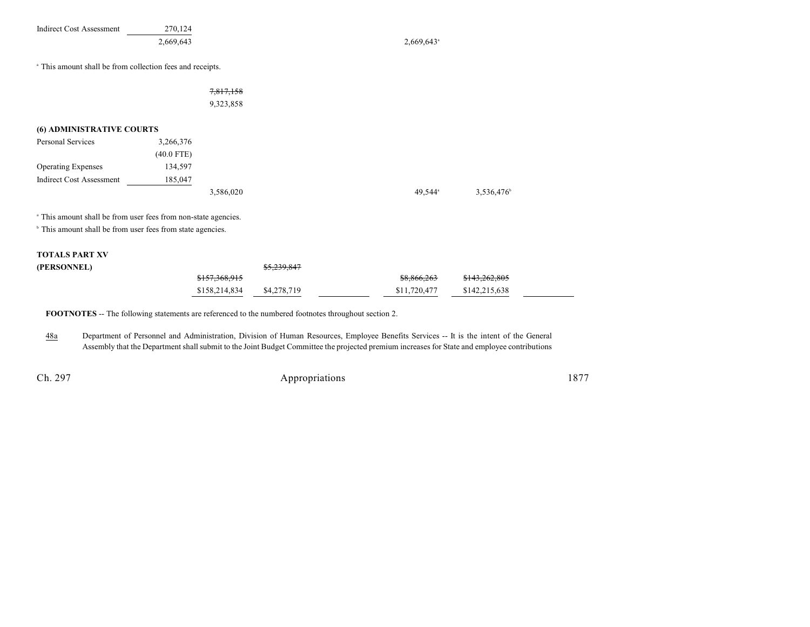| <b>Indirect Cost Assessment</b>                                                                                                                    | 270,124<br>2,669,643 |                          | $2,669,643$ <sup>a</sup> |                          |  |
|----------------------------------------------------------------------------------------------------------------------------------------------------|----------------------|--------------------------|--------------------------|--------------------------|--|
| <sup>a</sup> This amount shall be from collection fees and receipts.                                                                               |                      |                          |                          |                          |  |
|                                                                                                                                                    |                      | 7,817,158                |                          |                          |  |
|                                                                                                                                                    |                      | 9,323,858                |                          |                          |  |
| (6) ADMINISTRATIVE COURTS                                                                                                                          |                      |                          |                          |                          |  |
| <b>Personal Services</b>                                                                                                                           | 3,266,376            |                          |                          |                          |  |
|                                                                                                                                                    | $(40.0$ FTE)         |                          |                          |                          |  |
| <b>Operating Expenses</b>                                                                                                                          | 134,597              |                          |                          |                          |  |
| <b>Indirect Cost Assessment</b>                                                                                                                    | 185,047              |                          |                          |                          |  |
|                                                                                                                                                    |                      | 3,586,020                | 49,544 <sup>a</sup>      | 3,536,476                |  |
| <sup>a</sup> This amount shall be from user fees from non-state agencies.<br><sup>b</sup> This amount shall be from user fees from state agencies. |                      |                          |                          |                          |  |
| <b>TOTALS PART XV</b>                                                                                                                              |                      |                          |                          |                          |  |
| (PERSONNEL)                                                                                                                                        |                      |                          |                          |                          |  |
|                                                                                                                                                    |                      | <del>\$157.368.915</del> | \$8,866,263              | <del>\$143.262.805</del> |  |

**FOOTNOTES** -- The following statements are referenced to the numbered footnotes throughout section 2.

48a Department of Personnel and Administration, Division of Human Resources, Employee Benefits Services -- It is the intent of the General Assembly that the Department shall submit to the Joint Budget Committee the projected premium increases for State and employee contributions

Ch. 297 Appropriations 1877

\$158,214,834 \$4,278,719 \$11,720,477 \$142,215,638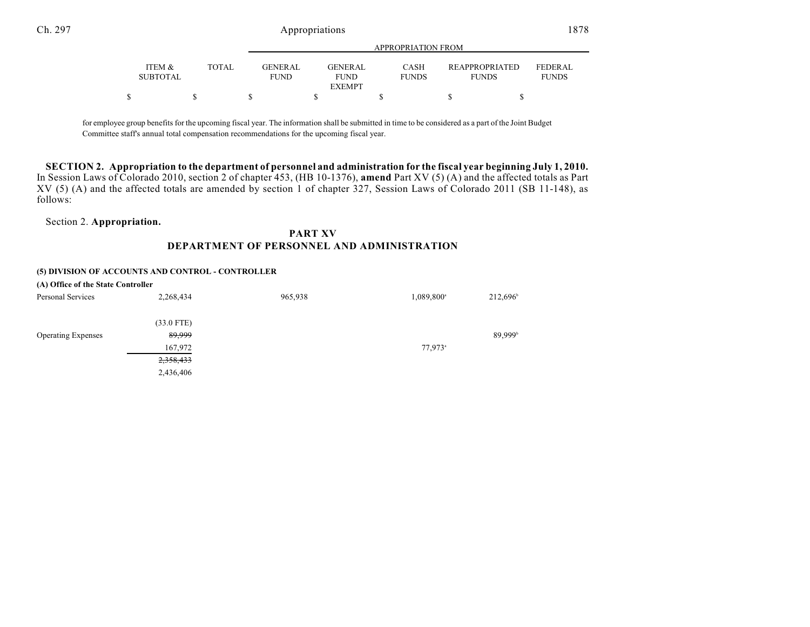|                           |              | APPROPRIATION FROM                                              |                             |                                       |                                |
|---------------------------|--------------|-----------------------------------------------------------------|-----------------------------|---------------------------------------|--------------------------------|
| ITEM &<br><b>SUBTOTAL</b> | <b>TOTAL</b> | <b>GENER AL</b><br><b>GENERAL</b><br><b>FUND</b><br><b>FUND</b> | <b>CASH</b><br><b>FUNDS</b> | <b>REAPPROPRIATED</b><br><b>FUNDS</b> | <b>FEDERAL</b><br><b>FUNDS</b> |
|                           |              | <b>EXEMPT</b>                                                   |                             |                                       |                                |
|                           |              |                                                                 |                             |                                       |                                |

for employee group benefits for the upcoming fiscal year. The information shall be submitted in time to be considered as a part of the Joint Budget Committee staff's annual total compensation recommendations for the upcoming fiscal year.

SECTION 2. Appropriation to the department of personnel and administration for the fiscal year beginning July 1, 2010. In Session Laws of Colorado 2010, section 2 of chapter 453, (HB 10-1376), **amend** Part XV (5) (A) and the affected totals as Part XV (5) (A) and the affected totals are amended by section 1 of chapter 327, Session Laws of Colorado 2011 (SB 11-148), as follows:

Section 2. **Appropriation.**

## **PART XV DEPARTMENT OF PERSONNEL AND ADMINISTRATION**

#### **(5) DIVISION OF ACCOUNTS AND CONTROL - CONTROLLER**

| (A) Office of the State Controller |              |         |                        |                     |
|------------------------------------|--------------|---------|------------------------|---------------------|
| <b>Personal Services</b>           | 2,268,434    | 965,938 | 1,089,800 <sup>a</sup> | 212,696             |
|                                    | $(33.0$ FTE) |         |                        |                     |
| <b>Operating Expenses</b>          | 89,999       |         |                        | 89,999 <sup>b</sup> |
|                                    | 167,972      |         | $77,973$ <sup>a</sup>  |                     |
|                                    | 2,358,433    |         |                        |                     |
|                                    | 2,436,406    |         |                        |                     |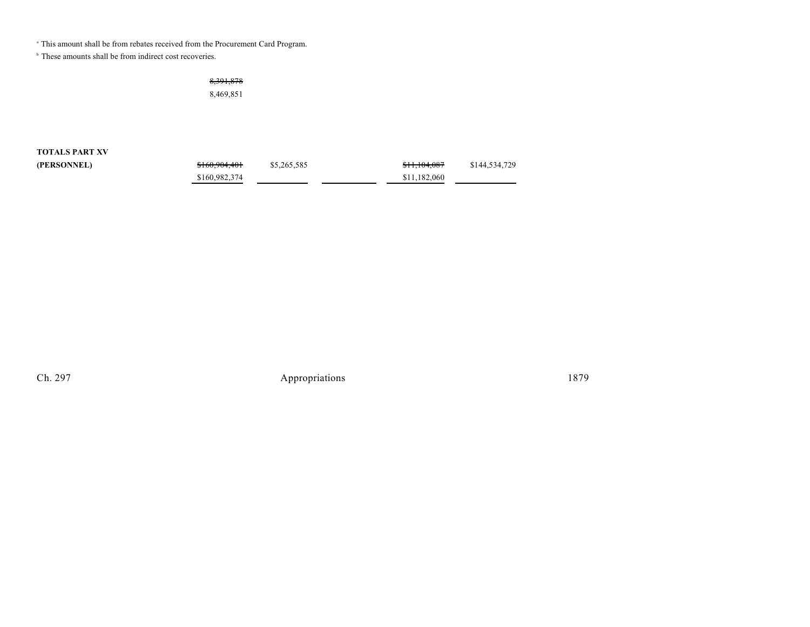<sup>a</sup> This amount shall be from rebates received from the Procurement Card Program.

 $\,^{\circ}$  These amounts shall be from indirect cost recoveries.

8,391,878

8,469,851

**TOTALS PART XV (PERSONNEL)** 

| \$160,904,401 | \$5,265,585 | \$11,104,087 | \$144,534,729 |
|---------------|-------------|--------------|---------------|
| \$160,982,374 |             | \$11.182,060 |               |